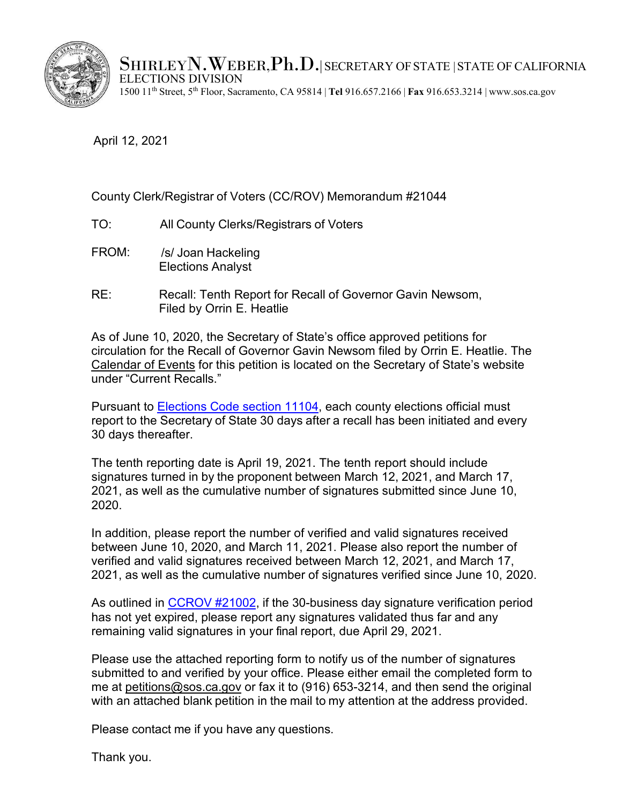

SHIRLEYN. WEBER,  $Ph.D.$  SECRETARY OF STATE STATE OF CALIFORNIA ELECTIONS DIVISION 1500 11th Street, 5th Floor, Sacramento, CA 95814 | **Tel** 916.657.2166 | **Fax** 916.653.3214 [| www.sos.ca.gov](http://www.sos.ca.gov/)

April 12, 2021

## County Clerk/Registrar of Voters (CC/ROV) Memorandum #21044

- TO: All County Clerks/Registrars of Voters
- FROM: /s/ Joan Hackeling Elections Analyst
- RE: Recall: Tenth Report for Recall of Governor Gavin Newsom, Filed by Orrin E. Heatlie

As of June 10, 2020, the Secretary of State's office approved petitions for circulation for the Recall of Governor Gavin Newsom filed by Orrin E. Heatlie. [The](https://elections.cdn.sos.ca.gov/recalls/newsom-calendar.pdf) [Calendar of Events](https://elections.cdn.sos.ca.gov/recalls/newsom-calendar.pdf) for this petition is located on the Secretary of State's website under "Current Recalls."

Pursuant to **Elections Code section 11104**, each county elections official must report to the Secretary of State 30 days after a recall has been initiated and every 30 days thereafter.

The tenth reporting date is April 19, 2021. The tenth report should include signatures turned in by the proponent between March 12, 2021, and March 17, 2021, as well as the cumulative number of signatures submitted since June 10, 2020.

In addition, please report the number of verified and valid signatures received between June 10, 2020, and March 11, 2021. Please also report the number of verified and valid signatures received between March 12, 2021, and March 17, 2021, as well as the cumulative number of signatures verified since June 10, 2020.

As outlined in [CCROV](https://elections.cdn.sos.ca.gov/ccrov/2021/january/21002jh.pdf) #21002, if the 30-business day signature verification period has not yet expired, please report any signatures validated thus far and any remaining valid signatures in your final report, due April 29, 2021.

Please use the attached reporting form to notify us of the number of signatures submitted to and verified by your office. Please either email the completed form to me at [petitions@sos.ca.gov](mailto:petitions@sos.ca.gov) or fax it to (916) 653-3214, and then send the original with an attached blank petition in the mail to my attention at the address provided.

Please contact me if you have any questions.

Thank you.